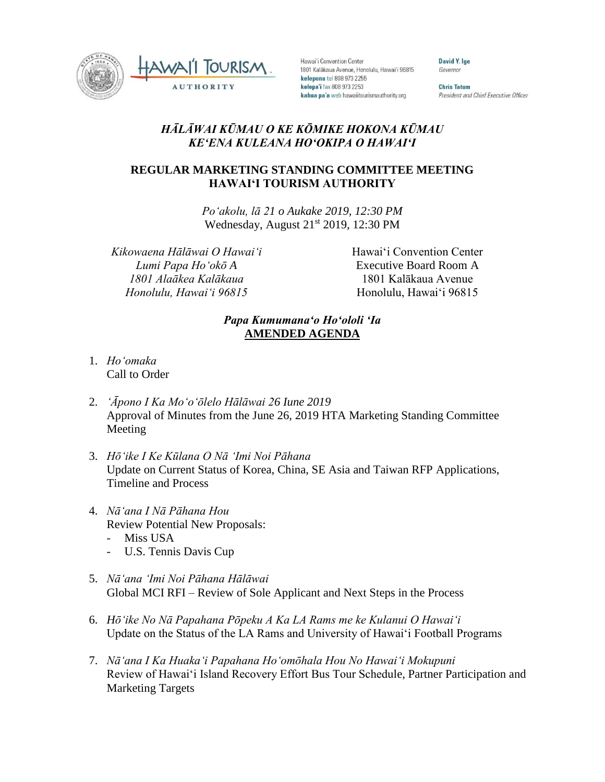



Hawai'i Convention Center 1801 Kalākaua Avenue, Honolulu, Hawai'i 96815 kelepona tel 808 973 2255 kelepa'i fax 808 973 2253 kahua pa'a web hawaiitourismauthority.org

David Y. Ige Governor

**Chris Tatum** President and Chief Executive Officer

## *HĀLĀWAI KŪMAU O KE KŌMIKE HOKONA KŪMAU KEʻENA KULEANA HOʻOKIPA O HAWAIʻI*

## **REGULAR MARKETING STANDING COMMITTEE MEETING HAWAI'I TOURISM AUTHORITY**

*Poʻakolu, lā 21 o Aukake 2019, 12:30 PM* Wednesday, August 21<sup>st</sup> 2019, 12:30 PM

*Kikowaena Hālāwai O Hawaiʻi Lumi Papa Hoʻokō A 1801 Alaākea Kalākaua Honolulu, Hawaiʻi 96815*

Hawai'i Convention Center Executive Board Room A 1801 Kalākaua Avenue Honolulu, Hawai'i 96815

## *Papa Kumumanaʻo Hoʻololi ʻIa* **AMENDED AGENDA**

- 1. *Ho'omaka* Call to Order
- 2. *'Āpono I Ka Moʻoʻōlelo Hālāwai 26 Iune 2019* Approval of Minutes from the June 26, 2019 HTA Marketing Standing Committee Meeting
- 3. *Hōʻike I Ke Kūlana O Nā ʻImi Noi Pāhana* Update on Current Status of Korea, China, SE Asia and Taiwan RFP Applications, Timeline and Process
- 4. *Nāʻana I Nā Pāhana Hou* Review Potential New Proposals:
	- Miss USA
	- U.S. Tennis Davis Cup
- 5. *Nāʻana ʻImi Noi Pāhana Hālāwai* Global MCI RFI – Review of Sole Applicant and Next Steps in the Process
- 6. *Hōʻike No Nā Papahana Pōpeku A Ka LA Rams me ke Kulanui O Hawaiʻi* Update on the Status of the LA Rams and University of Hawai'i Football Programs
- 7. *Nāʻana I Ka Huakaʻi Papahana Hoʻomōhala Hou No Hawaiʻi Mokupuni* Review of Hawai'i Island Recovery Effort Bus Tour Schedule, Partner Participation and Marketing Targets